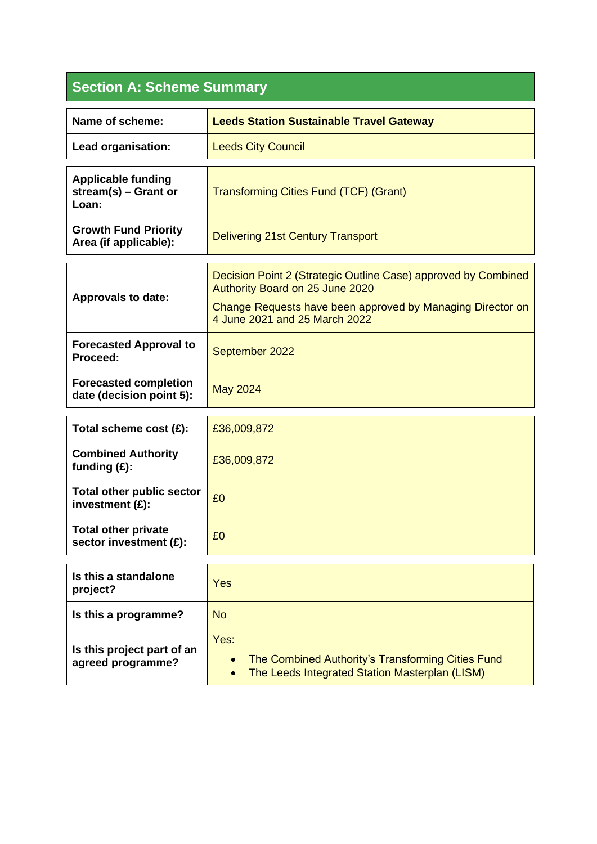## **Section A: Scheme Summary**

| Name of scheme:                                            | <b>Leeds Station Sustainable Travel Gateway</b>                                                                                                                                                  |
|------------------------------------------------------------|--------------------------------------------------------------------------------------------------------------------------------------------------------------------------------------------------|
| Lead organisation:                                         | <b>Leeds City Council</b>                                                                                                                                                                        |
| <b>Applicable funding</b><br>stream(s) - Grant or<br>Loan: | <b>Transforming Cities Fund (TCF) (Grant)</b>                                                                                                                                                    |
| <b>Growth Fund Priority</b><br>Area (if applicable):       | <b>Delivering 21st Century Transport</b>                                                                                                                                                         |
| <b>Approvals to date:</b>                                  | Decision Point 2 (Strategic Outline Case) approved by Combined<br>Authority Board on 25 June 2020<br>Change Requests have been approved by Managing Director on<br>4 June 2021 and 25 March 2022 |
| <b>Forecasted Approval to</b><br>Proceed:                  | September 2022                                                                                                                                                                                   |
| <b>Forecasted completion</b><br>date (decision point 5):   | <b>May 2024</b>                                                                                                                                                                                  |
| Total scheme cost (£):                                     | £36,009,872                                                                                                                                                                                      |
| <b>Combined Authority</b><br>funding $(E)$ :               | £36,009,872                                                                                                                                                                                      |
| <b>Total other public sector</b><br>investment (£):        | £0                                                                                                                                                                                               |
| <b>Total other private</b><br>sector investment (£):       | £0                                                                                                                                                                                               |
| Is this a standalone<br>project?                           | Yes                                                                                                                                                                                              |
| Is this a programme?                                       | <b>No</b>                                                                                                                                                                                        |
|                                                            |                                                                                                                                                                                                  |

|                            | Tes.                                                  |
|----------------------------|-------------------------------------------------------|
| Is this project part of an |                                                       |
| agreed programme?          | The Combined Authority's Transforming Cities Fund     |
|                            | <b>The Leeds Integrated Station Masterplan (LISM)</b> |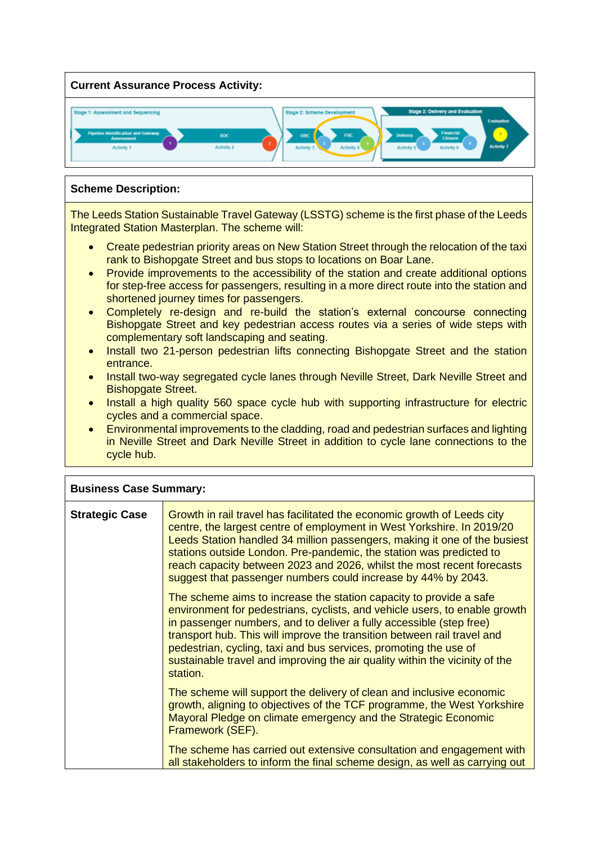

## **Scheme Description:**

The Leeds Station Sustainable Travel Gateway (LSSTG) scheme is the first phase of the Leeds Integrated Station Masterplan. The scheme will:

- Create pedestrian priority areas on New Station Street through the relocation of the taxi rank to Bishopgate Street and bus stops to locations on Boar Lane.
- Provide improvements to the accessibility of the station and create additional options for step-free access for passengers, resulting in a more direct route into the station and shortened journey times for passengers.
- Completely re-design and re-build the station's external concourse connecting Bishopgate Street and key pedestrian access routes via a series of wide steps with complementary soft landscaping and seating.
- Install two 21-person pedestrian lifts connecting Bishopgate Street and the station entrance.
- Install two-way segregated cycle lanes through Neville Street, Dark Neville Street and Bishopgate Street.
- Install a high quality 560 space cycle hub with supporting infrastructure for electric cycles and a commercial space.
- Environmental improvements to the cladding, road and pedestrian surfaces and lighting in Neville Street and Dark Neville Street in addition to cycle lane connections to the cycle hub.

| <b>Business Case Summary:</b> |                                                                                                                                                                                                                                                                                                                                                                                                                                                                   |
|-------------------------------|-------------------------------------------------------------------------------------------------------------------------------------------------------------------------------------------------------------------------------------------------------------------------------------------------------------------------------------------------------------------------------------------------------------------------------------------------------------------|
| <b>Strategic Case</b>         | Growth in rail travel has facilitated the economic growth of Leeds city<br>centre, the largest centre of employment in West Yorkshire. In 2019/20<br>Leeds Station handled 34 million passengers, making it one of the busiest<br>stations outside London. Pre-pandemic, the station was predicted to<br>reach capacity between 2023 and 2026, whilst the most recent forecasts<br>suggest that passenger numbers could increase by 44% by 2043.                  |
|                               | The scheme aims to increase the station capacity to provide a safe<br>environment for pedestrians, cyclists, and vehicle users, to enable growth<br>in passenger numbers, and to deliver a fully accessible (step free)<br>transport hub. This will improve the transition between rail travel and<br>pedestrian, cycling, taxi and bus services, promoting the use of<br>sustainable travel and improving the air quality within the vicinity of the<br>station. |
|                               | The scheme will support the delivery of clean and inclusive economic<br>growth, aligning to objectives of the TCF programme, the West Yorkshire<br>Mayoral Pledge on climate emergency and the Strategic Economic<br>Framework (SEF).                                                                                                                                                                                                                             |
|                               | The scheme has carried out extensive consultation and engagement with<br>all stakeholders to inform the final scheme design, as well as carrying out                                                                                                                                                                                                                                                                                                              |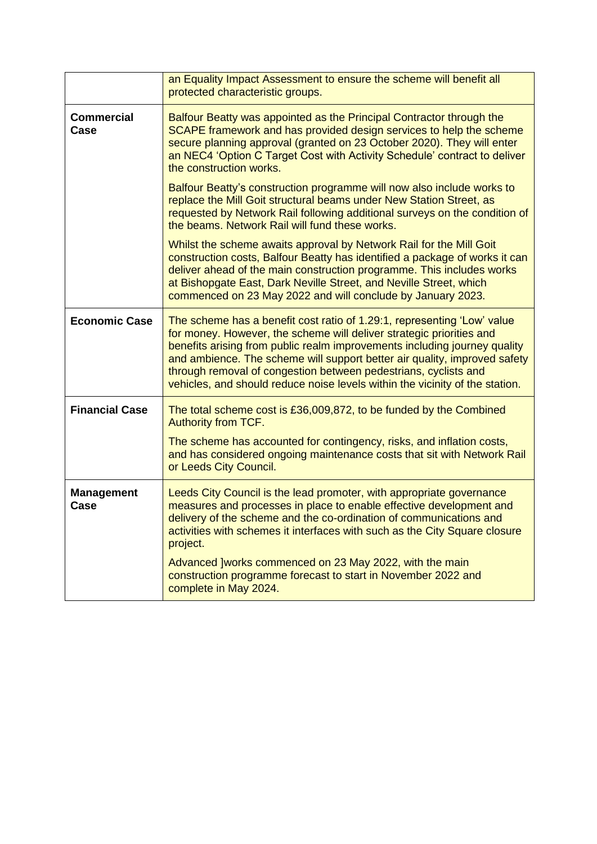|                           | an Equality Impact Assessment to ensure the scheme will benefit all<br>protected characteristic groups.                                                                                                                                                                                                                                                                                                                                                      |
|---------------------------|--------------------------------------------------------------------------------------------------------------------------------------------------------------------------------------------------------------------------------------------------------------------------------------------------------------------------------------------------------------------------------------------------------------------------------------------------------------|
| <b>Commercial</b><br>Case | Balfour Beatty was appointed as the Principal Contractor through the<br>SCAPE framework and has provided design services to help the scheme<br>secure planning approval (granted on 23 October 2020). They will enter<br>an NEC4 'Option C Target Cost with Activity Schedule' contract to deliver<br>the construction works.                                                                                                                                |
|                           | Balfour Beatty's construction programme will now also include works to<br>replace the Mill Goit structural beams under New Station Street, as<br>requested by Network Rail following additional surveys on the condition of<br>the beams. Network Rail will fund these works.                                                                                                                                                                                |
|                           | Whilst the scheme awaits approval by Network Rail for the Mill Goit<br>construction costs, Balfour Beatty has identified a package of works it can<br>deliver ahead of the main construction programme. This includes works<br>at Bishopgate East, Dark Neville Street, and Neville Street, which<br>commenced on 23 May 2022 and will conclude by January 2023.                                                                                             |
| <b>Economic Case</b>      | The scheme has a benefit cost ratio of 1.29:1, representing 'Low' value<br>for money. However, the scheme will deliver strategic priorities and<br>benefits arising from public realm improvements including journey quality<br>and ambience. The scheme will support better air quality, improved safety<br>through removal of congestion between pedestrians, cyclists and<br>vehicles, and should reduce noise levels within the vicinity of the station. |
| <b>Financial Case</b>     | The total scheme cost is £36,009,872, to be funded by the Combined<br>Authority from TCF.<br>The scheme has accounted for contingency, risks, and inflation costs,<br>and has considered ongoing maintenance costs that sit with Network Rail<br>or Leeds City Council.                                                                                                                                                                                      |
| <b>Management</b><br>Case | Leeds City Council is the lead promoter, with appropriate governance<br>measures and processes in place to enable effective development and<br>delivery of the scheme and the co-ordination of communications and<br>activities with schemes it interfaces with such as the City Square closure<br>project.                                                                                                                                                  |
|                           | Advanced ]works commenced on 23 May 2022, with the main<br>construction programme forecast to start in November 2022 and<br>complete in May 2024.                                                                                                                                                                                                                                                                                                            |